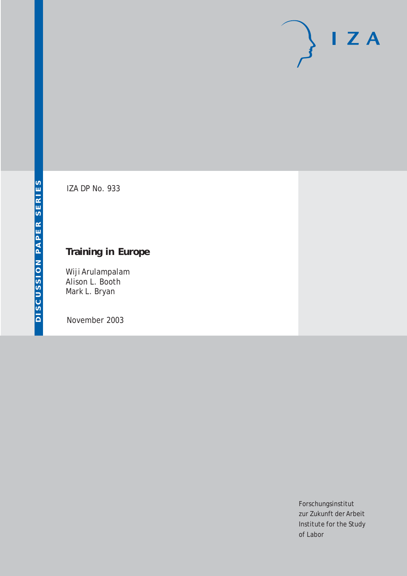# $I Z A$

IZA DP No. 933

## **Training in Europe**

Wiji Arulampalam Alison L. Booth Mark L. Bryan

November 2003

Forschungsinstitut zur Zukunft der Arbeit Institute for the Study of Labor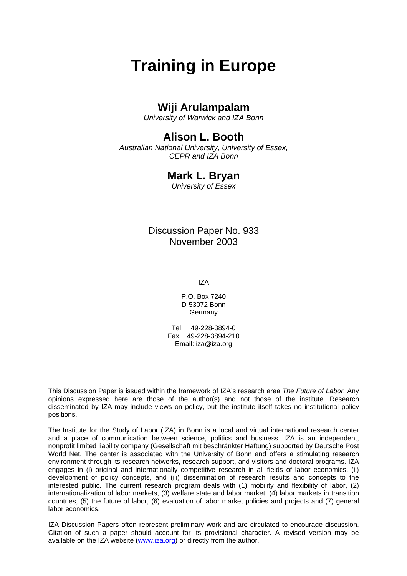## **Wiji Arulampalam**

*University of Warwick and IZA Bonn* 

## **Alison L. Booth**

*Australian National University, University of Essex, CEPR and IZA Bonn* 

### **Mark L. Bryan**

*University of Essex*

Discussion Paper No. 933 November 2003

IZA

P.O. Box 7240 D-53072 Bonn Germany

Tel.: +49-228-3894-0 Fax: +49-228-3894-210 Email: [iza@iza.org](mailto:iza@iza.org)

This Discussion Paper is issued within the framework of IZA's research area *The Future of Labor.* Any opinions expressed here are those of the author(s) and not those of the institute. Research disseminated by IZA may include views on policy, but the institute itself takes no institutional policy positions.

The Institute for the Study of Labor (IZA) in Bonn is a local and virtual international research center and a place of communication between science, politics and business. IZA is an independent, nonprofit limited liability company (Gesellschaft mit beschränkter Haftung) supported by Deutsche Post World Net. The center is associated with the University of Bonn and offers a stimulating research environment through its research networks, research support, and visitors and doctoral programs. IZA engages in (i) original and internationally competitive research in all fields of labor economics, (ii) development of policy concepts, and (iii) dissemination of research results and concepts to the interested public. The current research program deals with (1) mobility and flexibility of labor, (2) internationalization of labor markets, (3) welfare state and labor market, (4) labor markets in transition countries, (5) the future of labor, (6) evaluation of labor market policies and projects and (7) general labor economics.

IZA Discussion Papers often represent preliminary work and are circulated to encourage discussion. Citation of such a paper should account for its provisional character. A revised version may be available on the IZA website ([www.iza.org](http://www.iza.org/)) or directly from the author.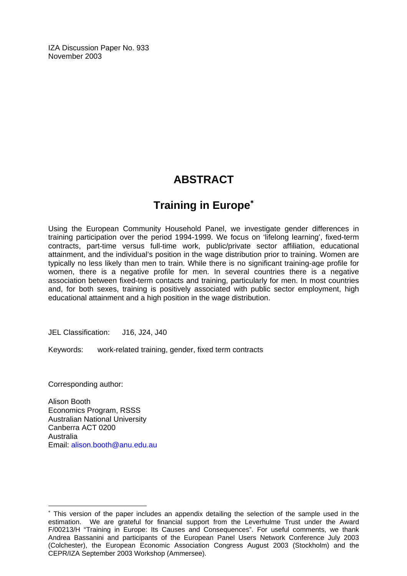IZA Discussion Paper No. 933 November 2003

## **ABSTRACT**

## **Training in Europe**[∗](#page-2-0)

Using the European Community Household Panel, we investigate gender differences in training participation over the period 1994-1999. We focus on 'lifelong learning', fixed-term contracts, part-time versus full-time work, public/private sector affiliation, educational attainment, and the individual's position in the wage distribution prior to training. Women are typically no less likely than men to train. While there is no significant training-age profile for women, there is a negative profile for men. In several countries there is a negative association between fixed-term contacts and training, particularly for men. In most countries and, for both sexes, training is positively associated with public sector employment, high educational attainment and a high position in the wage distribution.

JEL Classification: J16, J24, J40

Keywords: work-related training, gender, fixed term contracts

Corresponding author:

 $\overline{a}$ 

Alison Booth Economics Program, RSSS Australian National University Canberra ACT 0200 Australia Email: [alison.booth@anu.edu.au](mailto:alison.booth@anu.edu.au) 

<span id="page-2-0"></span><sup>∗</sup> This version of the paper includes an appendix detailing the selection of the sample used in the estimation. We are grateful for financial support from the Leverhulme Trust under the Award F/00213/H "Training in Europe: Its Causes and Consequences". For useful comments, we thank Andrea Bassanini and participants of the European Panel Users Network Conference July 2003 (Colchester), the European Economic Association Congress August 2003 (Stockholm) and the CEPR/IZA September 2003 Workshop (Ammersee).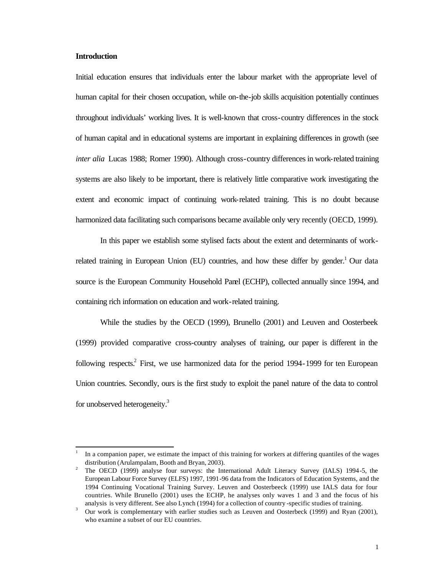#### **Introduction**

l

Initial education ensures that individuals enter the labour market with the appropriate level of human capital for their chosen occupation, while on-the-job skills acquisition potentially continues throughout individuals' working lives. It is well-known that cross-country differences in the stock of human capital and in educational systems are important in explaining differences in growth (see *inter alia* Lucas 1988; Romer 1990). Although cross-country differences in work-related training systems are also likely to be important, there is relatively little comparative work investigating the extent and economic impact of continuing work-related training. This is no doubt because harmonized data facilitating such comparisons became available only very recently (OECD, 1999).

In this paper we establish some stylised facts about the extent and determinants of workrelated training in European Union (EU) countries, and how these differ by gender.<sup>1</sup> Our data source is the European Community Household Panel (ECHP), collected annually since 1994, and containing rich information on education and work-related training.

While the studies by the OECD (1999), Brunello (2001) and Leuven and Oosterbeek (1999) provided comparative cross-country analyses of training, our paper is different in the following respects.<sup>2</sup> First, we use harmonized data for the period 1994-1999 for ten European Union countries. Secondly, ours is the first study to exploit the panel nature of the data to control for unobserved heterogeneity.<sup>3</sup>

<sup>1</sup> In a companion paper, we estimate the impact of this training for workers at differing quantiles of the wages distribution (Arulampalam, Booth and Bryan, 2003).

<sup>2</sup> The OECD (1999) analyse four surveys: the International Adult Literacy Survey (IALS) 1994-5, the European Labour Force Survey (ELFS) 1997, 1991-96 data from the Indicators of Education Systems, and the 1994 Continuing Vocational Training Survey. Leuven and Oosterbeeck (1999) use IALS data for four countries. While Brunello (2001) uses the ECHP, he analyses only waves 1 and 3 and the focus of his analysis is very different. See also Lynch (1994) for a collection of country -specific studies of training.

<sup>3</sup> Our work is complementary with earlier studies such as Leuven and Oosterbeck (1999) and Ryan (2001), who examine a subset of our EU countries.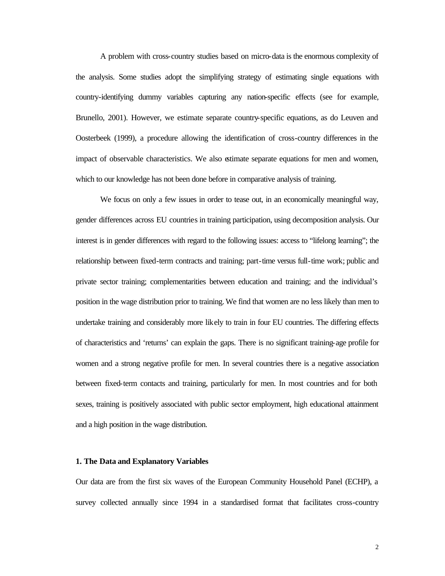A problem with cross-country studies based on micro-data is the enormous complexity of the analysis. Some studies adopt the simplifying strategy of estimating single equations with country-identifying dummy variables capturing any nation-specific effects (see for example, Brunello, 2001). However, we estimate separate country-specific equations, as do Leuven and Oosterbeek (1999), a procedure allowing the identification of cross-country differences in the impact of observable characteristics. We also estimate separate equations for men and women, which to our knowledge has not been done before in comparative analysis of training.

We focus on only a few issues in order to tease out, in an economically meaningful way, gender differences across EU countries in training participation, using decomposition analysis. Our interest is in gender differences with regard to the following issues: access to "lifelong learning"; the relationship between fixed-term contracts and training; part-time versus full-time work; public and private sector training; complementarities between education and training; and the individual's position in the wage distribution prior to training. We find that women are no less likely than men to undertake training and considerably more likely to train in four EU countries. The differing effects of characteristics and 'returns' can explain the gaps. There is no significant training-age profile for women and a strong negative profile for men. In several countries there is a negative association between fixed-term contacts and training, particularly for men. In most countries and for both sexes, training is positively associated with public sector employment, high educational attainment and a high position in the wage distribution.

#### **1. The Data and Explanatory Variables**

Our data are from the first six waves of the European Community Household Panel (ECHP), a survey collected annually since 1994 in a standardised format that facilitates cross-country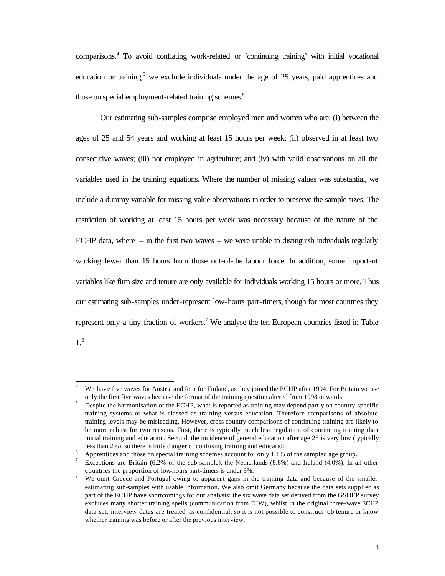comparisons.<sup>4</sup> To avoid conflating work-related or 'continuing training' with initial vocational education or training,<sup>5</sup> we exclude individuals under the age of 25 years, paid apprentices and those on special employment-related training schemes.<sup>6</sup>

Our estimating sub-samples comprise employed men and women who are: (i) between the ages of 25 and 54 years and working at least 15 hours per week; (ii) observed in at least two consecutive waves; (iii) not employed in agriculture; and (iv) with valid observations on all the variables used in the training equations. Where the number of missing values was substantial, we include a dummy variable for missing value observations in order to preserve the sample sizes. The restriction of working at least 15 hours per week was necessary because of the nature of the ECHP data, where  $-$  in the first two waves  $-$  we were unable to distinguish individuals regularly working fewer than 15 hours from those out-of-the labour force. In addition, some important variables like firm size and tenure are only available for individuals working 15 hours or more. Thus our estimating sub-samples under-represent low-hours part-timers, though for most countries they represent only a tiny fraction of workers.<sup>7</sup> We analyse the ten European countries listed in Table

1.8

 $\overline{4}$ We have five waves for Austria and four for Finland, as they joined the ECHP after 1994. For Britain we use only the first five waves because the format of the training question altered from 1998 onwards.

<sup>5</sup> Despite the harmonisation of the ECHP, what is reported as training may depend partly on country-specific training systems or what is classed as training versus education. Therefore comparisons of absolute training levels may be misleading. However, cross-country comparisons of continuing training are likely to be more robust for two reasons. First, there is typically much less regulation of continuing training than initial training and education. Second, the incidence of general education after age 25 is very low (typically less than 2%), so there is little d anger of confusing training and education.

<sup>6</sup> Apprentices and those on special training schemes account for only 1.1% of the sampled age group.

<sup>7</sup> Exceptions are Britain (6.2% of the sub-sample), the Netherlands (8.8%) and Ireland (4.0%). In all other countries the proportion of low-hours part-timers is under 3%.

<sup>&</sup>lt;sup>8</sup> We omit Greece and Portugal owing to apparent gaps in the training data and because of the smaller estimating sub-samples with usable information. We also omit Germany because the data sets supplied as part of the ECHP have shortcomings for our analysis: the six wave data set derived from the GSOEP survey excludes many shorter training spells (communication from DIW), whilst in the original three-wave ECHP data set, interview dates are treated as confidential, so it is not possible to construct job tenure or know whether training was before or after the previous interview.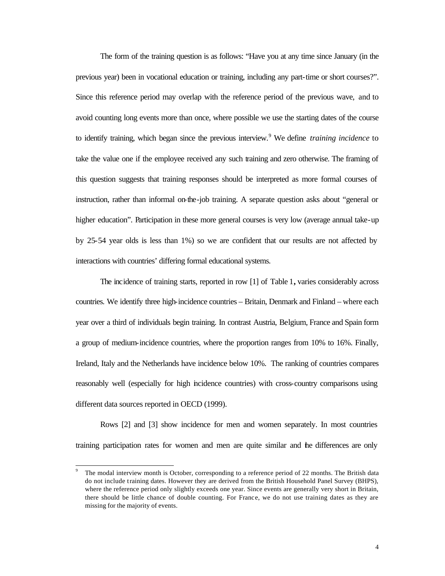The form of the training question is as follows: "Have you at any time since January (in the previous year) been in vocational education or training, including any part-time or short courses?". Since this reference period may overlap with the reference period of the previous wave, and to avoid counting long events more than once, where possible we use the starting dates of the course to identify training, which began since the previous interview.<sup>9</sup> We define *training incidence* to take the value one if the employee received any such training and zero otherwise. The framing of this question suggests that training responses should be interpreted as more formal courses of instruction, rather than informal on-the-job training. A separate question asks about "general or higher education". Participation in these more general courses is very low (average annual take-up by 25-54 year olds is less than 1%) so we are confident that our results are not affected by interactions with countries' differing formal educational systems.

The incidence of training starts, reported in row [1] of Table 1**,** varies considerably across countries. We identify three high-incidence countries – Britain, Denmark and Finland – where each year over a third of individuals begin training. In contrast Austria, Belgium, France and Spain form a group of medium-incidence countries, where the proportion ranges from 10% to 16%. Finally, Ireland, Italy and the Netherlands have incidence below 10%. The ranking of countries compares reasonably well (especially for high incidence countries) with cross-country comparisons using different data sources reported in OECD (1999).

Rows [2] and [3] show incidence for men and women separately. In most countries training participation rates for women and men are quite similar and the differences are only

l

<sup>9</sup> The modal interview month is October, corresponding to a reference period of 22 months. The British data do not include training dates. However they are derived from the British Household Panel Survey (BHPS), where the reference period only slightly exceeds one year. Since events are generally very short in Britain, there should be little chance of double counting. For France, we do not use training dates as they are missing for the majority of events.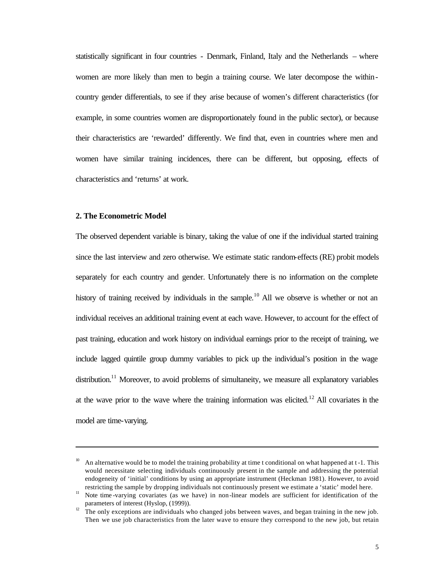statistically significant in four countries - Denmark, Finland, Italy and the Netherlands – where women are more likely than men to begin a training course. We later decompose the withincountry gender differentials, to see if they arise because of women's different characteristics (for example, in some countries women are disproportionately found in the public sector), or because their characteristics are 'rewarded' differently. We find that, even in countries where men and women have similar training incidences, there can be different, but opposing, effects of characteristics and 'returns' at work.

#### **2. The Econometric Model**

l

The observed dependent variable is binary, taking the value of one if the individual started training since the last interview and zero otherwise. We estimate static random-effects (RE) probit models separately for each country and gender. Unfortunately there is no information on the complete history of training received by individuals in the sample.<sup>10</sup> All we observe is whether or not an individual receives an additional training event at each wave. However, to account for the effect of past training, education and work history on individual earnings prior to the receipt of training, we include lagged quintile group dummy variables to pick up the individual's position in the wage  $\mu$  distribution.<sup>11</sup> Moreover, to avoid problems of simultaneity, we measure all explanatory variables at the wave prior to the wave where the training information was elicited.<sup>12</sup> All covariates in the model are time-varying.

<sup>10</sup> An alternative would be to model the training probability at time t conditional on what happened at t -1. This would necessitate selecting individuals continuously present in the sample and addressing the potential endogeneity of 'initial' conditions by using an appropriate instrument (Heckman 1981). However, to avoid restricting the sample by dropping individuals not continuously present we estimate a 'static' model here.

<sup>&</sup>lt;sup>11</sup> Note time -varying covariates (as we have) in non-linear models are sufficient for identification of the parameters of interest (Hyslop, (1999)).

 $12$  The only exceptions are individuals who changed jobs between waves, and began training in the new job. Then we use job characteristics from the later wave to ensure they correspond to the new job, but retain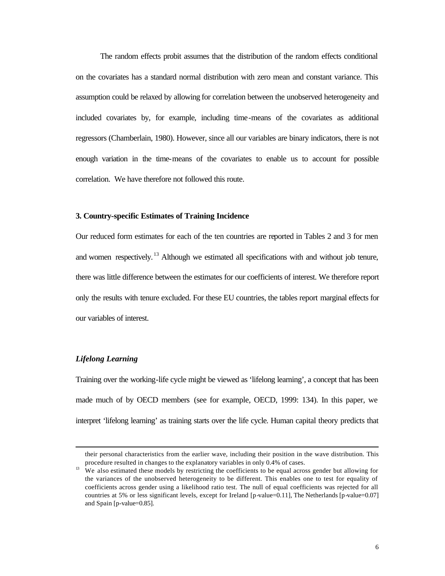The random effects probit assumes that the distribution of the random effects conditional on the covariates has a standard normal distribution with zero mean and constant variance. This assumption could be relaxed by allowing for correlation between the unobserved heterogeneity and included covariates by, for example, including time-means of the covariates as additional regressors (Chamberlain, 1980). However, since all our variables are binary indicators, there is not enough variation in the time-means of the covariates to enable us to account for possible correlation. We have therefore not followed this route.

#### **3. Country-specific Estimates of Training Incidence**

Our reduced form estimates for each of the ten countries are reported in Tables 2 and 3 for men and women respectively.<sup>13</sup> Although we estimated all specifications with and without job tenure, there was little difference between the estimates for our coefficients of interest. We therefore report only the results with tenure excluded. For these EU countries, the tables report marginal effects for our variables of interest.

#### *Lifelong Learning*

l

Training over the working-life cycle might be viewed as 'lifelong learning', a concept that has been made much of by OECD members (see for example, OECD, 1999: 134). In this paper, we interpret 'lifelong learning' as training starts over the life cycle. Human capital theory predicts that

their personal characteristics from the earlier wave, including their position in the wave distribution. This procedure resulted in changes to the explanatory variables in only 0.4% of cases.

<sup>&</sup>lt;sup>13</sup> We also estimated these models by restricting the coefficients to be equal across gender but allowing for the variances of the unobserved heterogeneity to be different. This enables one to test for equality of coefficients across gender using a likelihood ratio test. The null of equal coefficients was rejected for all countries at 5% or less significant levels, except for Ireland [p-value=0.11], The Netherlands [p-value=0.07] and Spain [p-value=0.85].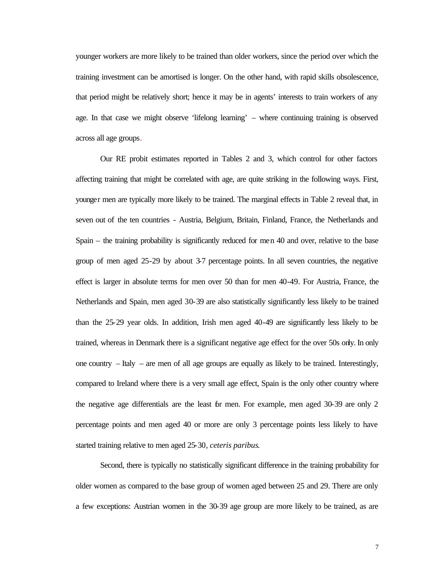younger workers are more likely to be trained than older workers, since the period over which the training investment can be amortised is longer. On the other hand, with rapid skills obsolescence, that period might be relatively short; hence it may be in agents' interests to train workers of any age. In that case we might observe 'lifelong learning' – where continuing training is observed across all age groups.

Our RE probit estimates reported in Tables 2 and 3, which control for other factors affecting training that might be correlated with age, are quite striking in the following ways. First, younger men are typically more likely to be trained. The marginal effects in Table 2 reveal that, in seven out of the ten countries - Austria, Belgium, Britain, Finland, France, the Netherlands and Spain – the training probability is significantly reduced for men 40 and over, relative to the base group of men aged 25-29 by about 3-7 percentage points. In all seven countries, the negative effect is larger in absolute terms for men over 50 than for men 40-49. For Austria, France, the Netherlands and Spain, men aged 30-39 are also statistically significantly less likely to be trained than the 25-29 year olds. In addition, Irish men aged 40-49 are significantly less likely to be trained, whereas in Denmark there is a significant negative age effect for the over 50s only. In only one country – Italy – are men of all age groups are equally as likely to be trained. Interestingly, compared to Ireland where there is a very small age effect, Spain is the only other country where the negative age differentials are the least for men. For example, men aged 30-39 are only 2 percentage points and men aged 40 or more are only 3 percentage points less likely to have started training relative to men aged 25-30*, ceteris paribus*.

Second, there is typically no statistically significant difference in the training probability for older women as compared to the base group of women aged between 25 and 29. There are only a few exceptions: Austrian women in the 30-39 age group are more likely to be trained, as are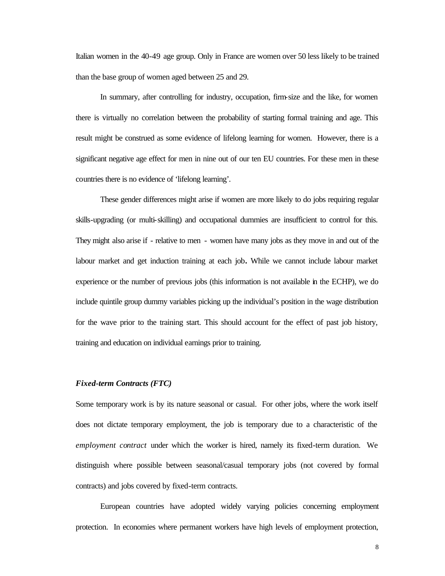Italian women in the 40-49 age group. Only in France are women over 50 less likely to be trained than the base group of women aged between 25 and 29.

In summary, after controlling for industry, occupation, firm-size and the like, for women there is virtually no correlation between the probability of starting formal training and age. This result might be construed as some evidence of lifelong learning for women. However, there is a significant negative age effect for men in nine out of our ten EU countries. For these men in these countries there is no evidence of 'lifelong learning'.

These gender differences might arise if women are more likely to do jobs requiring regular skills-upgrading (or multi-skilling) and occupational dummies are insufficient to control for this. They might also arise if - relative to men - women have many jobs as they move in and out of the labour market and get induction training at each job**.** While we cannot include labour market experience or the number of previous jobs (this information is not available in the ECHP), we do include quintile group dummy variables picking up the individual's position in the wage distribution for the wave prior to the training start. This should account for the effect of past job history, training and education on individual earnings prior to training.

#### *Fixed-term Contracts (FTC)*

Some temporary work is by its nature seasonal or casual. For other jobs, where the work itself does not dictate temporary employment, the job is temporary due to a characteristic of the *employment contract* under which the worker is hired, namely its fixed-term duration. We distinguish where possible between seasonal/casual temporary jobs (not covered by formal contracts) and jobs covered by fixed-term contracts.

European countries have adopted widely varying policies concerning employment protection. In economies where permanent workers have high levels of employment protection,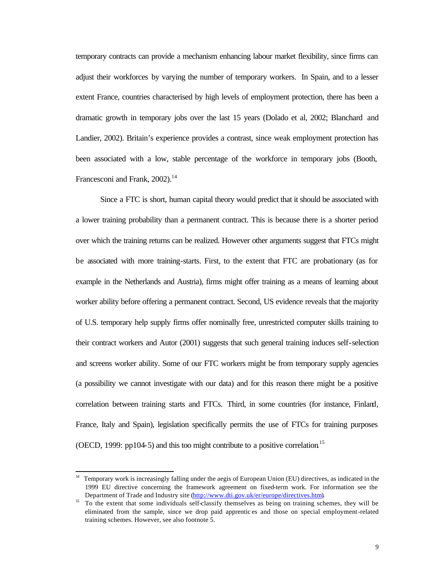temporary contracts can provide a mechanism enhancing labour market flexibility, since firms can adjust their workforces by varying the number of temporary workers. In Spain, and to a lesser extent France, countries characterised by high levels of employment protection, there has been a dramatic growth in temporary jobs over the last 15 years (Dolado et al, 2002; Blanchard and Landier, 2002). Britain's experience provides a contrast, since weak employment protection has been associated with a low, stable percentage of the workforce in temporary jobs (Booth, Francesconi and Frank, 2002).<sup>14</sup>

Since a FTC is short, human capital theory would predict that it should be associated with a lower training probability than a permanent contract. This is because there is a shorter period over which the training returns can be realized. However other arguments suggest that FTCs might be associated with more training-starts. First, to the extent that FTC are probationary (as for example in the Netherlands and Austria), firms might offer training as a means of learning about worker ability before offering a permanent contract. Second, US evidence reveals that the majority of U.S. temporary help supply firms offer nominally free, unrestricted computer skills training to their contract workers and Autor (2001) suggests that such general training induces self-selection and screens worker ability. Some of our FTC workers might be from temporary supply agencies (a possibility we cannot investigate with our data) and for this reason there might be a positive correlation between training starts and FTCs. Third, in some countries (for instance, Finland, France, Italy and Spain), legislation specifically permits the use of FTCs for training purposes (OECD, 1999: pp104-5) and this too might contribute to a positive correlation<sup>15</sup>

l

<sup>&</sup>lt;sup>14</sup> Temporary work is increasingly falling under the aegis of European Union (EU) directives, as indicated in the 1999 EU directive concerning the framework agreement on fixed-term work. For information see the Department of Trade and Industry site (http://www.dti.gov.uk/er/europe/directives.htm).

<sup>&</sup>lt;sup>15</sup> To the extent that some individuals self-classify themselves as being on training schemes, they will be eliminated from the sample, since we drop paid apprentic es and those on special employment-related training schemes. However, see also footnote 5.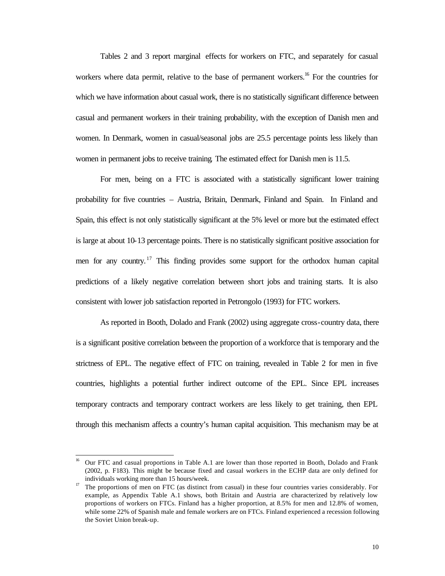Tables 2 and 3 report marginal effects for workers on FTC, and separately for casual workers where data permit, relative to the base of permanent workers.<sup>16</sup> For the countries for which we have information about casual work, there is no statistically significant difference between casual and permanent workers in their training probability, with the exception of Danish men and women. In Denmark, women in casual/seasonal jobs are 25.5 percentage points less likely than women in permanent jobs to receive training*.* The estimated effect for Danish men is 11.5.

For men, being on a FTC is associated with a statistically significant lower training probability for five countries – Austria, Britain, Denmark, Finland and Spain. In Finland and Spain, this effect is not only statistically significant at the 5% level or more but the estimated effect is large at about 10-13 percentage points. There is no statistically significant positive association for men for any country.<sup>17</sup> This finding provides some support for the orthodox human capital predictions of a likely negative correlation between short jobs and training starts. It is also consistent with lower job satisfaction reported in Petrongolo (1993) for FTC workers.

As reported in Booth, Dolado and Frank (2002) using aggregate cross-country data, there is a significant positive correlation between the proportion of a workforce that is temporary and the strictness of EPL. The negative effect of FTC on training, revealed in Table 2 for men in five countries, highlights a potential further indirect outcome of the EPL. Since EPL increases temporary contracts and temporary contract workers are less likely to get training, then EPL through this mechanism affects a country's human capital acquisition. This mechanism may be at

l

<sup>16</sup> Our FTC and casual proportions in Table A.1 are lower than those reported in Booth, Dolado and Frank (2002, p. F183). This might be because fixed and casual workers in the ECHP data are only defined for individuals working more than 15 hours/week.

<sup>&</sup>lt;sup>17</sup> The proportions of men on FTC (as distinct from casual) in these four countries varies considerably. For example, as Appendix Table A.1 shows, both Britain and Austria are characterized by relatively low proportions of workers on FTCs. Finland has a higher proportion, at 8.5% for men and 12.8% of women, while some 22% of Spanish male and female workers are on FTCs. Finland experienced a recession following the Soviet Union break-up.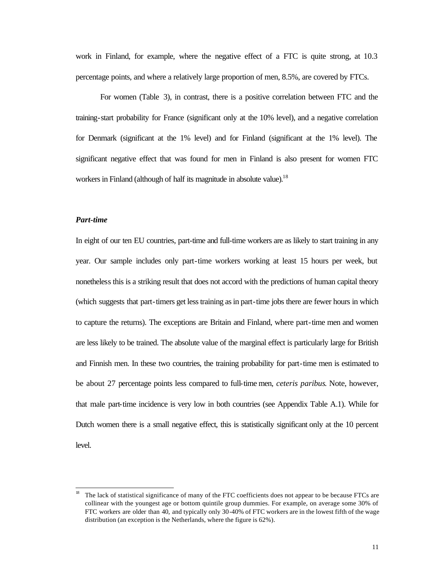work in Finland, for example, where the negative effect of a FTC is quite strong, at 10.3 percentage points, and where a relatively large proportion of men, 8.5%, are covered by FTCs.

For women (Table 3), in contrast, there is a positive correlation between FTC and the training-start probability for France (significant only at the 10% level), and a negative correlation for Denmark (significant at the 1% level) and for Finland (significant at the 1% level). The significant negative effect that was found for men in Finland is also present for women FTC workers in Finland (although of half its magnitude in absolute value).<sup>18</sup>

#### *Part-time*

l

In eight of our ten EU countries, part-time and full-time workers are as likely to start training in any year. Our sample includes only part-time workers working at least 15 hours per week, but nonetheless this is a striking result that does not accord with the predictions of human capital theory (which suggests that part-timers get less training as in part-time jobs there are fewer hours in which to capture the returns). The exceptions are Britain and Finland, where part-time men and women are less likely to be trained. The absolute value of the marginal effect is particularly large for British and Finnish men. In these two countries, the training probability for part-time men is estimated to be about 27 percentage points less compared to full-time men, *ceteris paribus*. Note, however, that male part-time incidence is very low in both countries (see Appendix Table A.1). While for Dutch women there is a small negative effect, this is statistically significant only at the 10 percent level.

<sup>18</sup> The lack of statistical significance of many of the FTC coefficients does not appear to be because FTCs are collinear with the youngest age or bottom quintile group dummies. For example, on average some 30% of FTC workers are older than 40, and typically only 30-40% of FTC workers are in the lowest fifth of the wage distribution (an exception is the Netherlands, where the figure is 62%).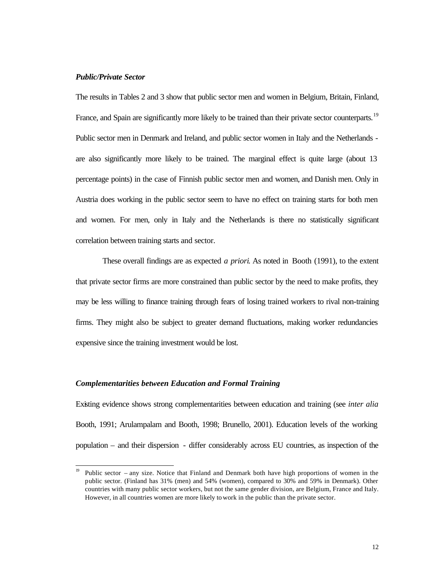#### *Public/Private Sector*

l

The results in Tables 2 and 3 show that public sector men and women in Belgium, Britain, Finland, France, and Spain are significantly more likely to be trained than their private sector counterparts.<sup>19</sup> Public sector men in Denmark and Ireland, and public sector women in Italy and the Netherlands are also significantly more likely to be trained. The marginal effect is quite large (about 13 percentage points) in the case of Finnish public sector men and women, and Danish men. Only in Austria does working in the public sector seem to have no effect on training starts for both men and women. For men, only in Italy and the Netherlands is there no statistically significant correlation between training starts and sector.

 These overall findings are as expected *a priori*. As noted in Booth (1991), to the extent that private sector firms are more constrained than public sector by the need to make profits, they may be less willing to finance training through fears of losing trained workers to rival non-training firms. They might also be subject to greater demand fluctuations, making worker redundancies expensive since the training investment would be lost.

#### *Complementarities between Education and Formal Training*

Existing evidence shows strong complementarities between education and training (see *inter alia*  Booth, 1991; Arulampalam and Booth, 1998; Brunello, 2001). Education levels of the working population – and their dispersion - differ considerably across EU countries, as inspection of the

<sup>19</sup> Public sector – any size. Notice that Finland and Denmark both have high proportions of women in the public sector. (Finland has 31% (men) and 54% (women), compared to 30% and 59% in Denmark). Other countries with many public sector workers, but not the same gender division, are Belgium, France and Italy. However, in all countries women are more likely to work in the public than the private sector.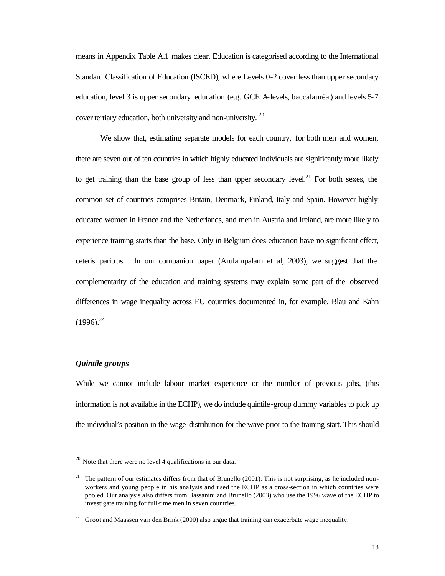means in Appendix Table A.1 makes clear. Education is categorised according to the International Standard Classification of Education (ISCED), where Levels 0-2 cover less than upper secondary education, level 3 is upper secondary education (e.g. GCE A-levels, baccalauréat) and levels 5-7 cover tertiary education, both university and non-university.<sup>20</sup>

We show that, estimating separate models for each country, for both men and women, there are seven out of ten countries in which highly educated individuals are significantly more likely to get training than the base group of less than upper secondary level.<sup>21</sup> For both sexes, the common set of countries comprises Britain, Denmark, Finland, Italy and Spain. However highly educated women in France and the Netherlands, and men in Austria and Ireland, are more likely to experience training starts than the base. Only in Belgium does education have no significant effect, ceteris paribus. In our companion paper (Arulampalam et al, 2003), we suggest that the complementarity of the education and training systems may explain some part of the observed differences in wage inequality across EU countries documented in, for example, Blau and Kahn  $(1996)^{22}$ 

#### *Quintile groups*

l

While we cannot include labour market experience or the number of previous jobs, (this information is not available in the ECHP), we do include quintile-group dummy variables to pick up the individual's position in the wage distribution for the wave prior to the training start. This should

 $20$  Note that there were no level 4 qualifications in our data.

<sup>&</sup>lt;sup>21</sup> The pattern of our estimates differs from that of Brunello (2001). This is not surprising, as he included nonworkers and young people in his analysis and used the ECHP as a cross-section in which countries were pooled. Our analysis also differs from Bassanini and Brunello (2003) who use the 1996 wave of the ECHP to investigate training for full-time men in seven countries.

Groot and Maassen van den Brink (2000) also argue that training can exacerbate wage inequality.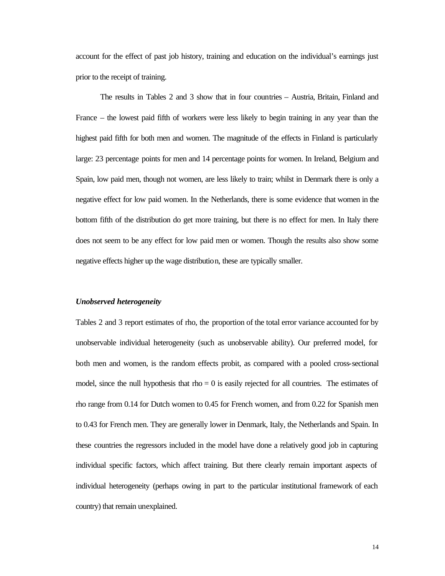account for the effect of past job history, training and education on the individual's earnings just prior to the receipt of training.

The results in Tables 2 and 3 show that in four countries – Austria, Britain, Finland and France – the lowest paid fifth of workers were less likely to begin training in any year than the highest paid fifth for both men and women. The magnitude of the effects in Finland is particularly large: 23 percentage points for men and 14 percentage points for women. In Ireland, Belgium and Spain, low paid men, though not women, are less likely to train; whilst in Denmark there is only a negative effect for low paid women. In the Netherlands, there is some evidence that women in the bottom fifth of the distribution do get more training, but there is no effect for men. In Italy there does not seem to be any effect for low paid men or women. Though the results also show some negative effects higher up the wage distribution, these are typically smaller.

#### *Unobserved heterogeneity*

Tables 2 and 3 report estimates of rho, the proportion of the total error variance accounted for by unobservable individual heterogeneity (such as unobservable ability). Our preferred model, for both men and women, is the random effects probit, as compared with a pooled cross-sectional model, since the null hypothesis that  $\text{rho} = 0$  is easily rejected for all countries. The estimates of rho range from 0.14 for Dutch women to 0.45 for French women, and from 0.22 for Spanish men to 0.43 for French men. They are generally lower in Denmark, Italy, the Netherlands and Spain. In these countries the regressors included in the model have done a relatively good job in capturing individual specific factors, which affect training. But there clearly remain important aspects of individual heterogeneity (perhaps owing in part to the particular institutional framework of each country) that remain unexplained.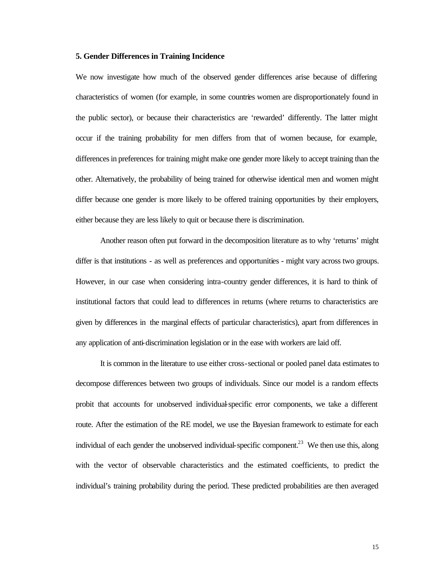#### **5. Gender Differences in Training Incidence**

We now investigate how much of the observed gender differences arise because of differing characteristics of women (for example, in some countries women are disproportionately found in the public sector), or because their characteristics are 'rewarded' differently. The latter might occur if the training probability for men differs from that of women because, for example, differences in preferences for training might make one gender more likely to accept training than the other. Alternatively, the probability of being trained for otherwise identical men and women might differ because one gender is more likely to be offered training opportunities by their employers, either because they are less likely to quit or because there is discrimination.

Another reason often put forward in the decomposition literature as to why 'returns' might differ is that institutions - as well as preferences and opportunities - might vary across two groups. However, in our case when considering intra-country gender differences, it is hard to think of institutional factors that could lead to differences in returns (where returns to characteristics are given by differences in the marginal effects of particular characteristics), apart from differences in any application of anti-discrimination legislation or in the ease with workers are laid off.

It is common in the literature to use either cross-sectional or pooled panel data estimates to decompose differences between two groups of individuals. Since our model is a random effects probit that accounts for unobserved individual-specific error components, we take a different route. After the estimation of the RE model, we use the Bayesian framework to estimate for each individual of each gender the unobserved individual-specific component.<sup>23</sup> We then use this, along with the vector of observable characteristics and the estimated coefficients, to predict the individual's training probability during the period. These predicted probabilities are then averaged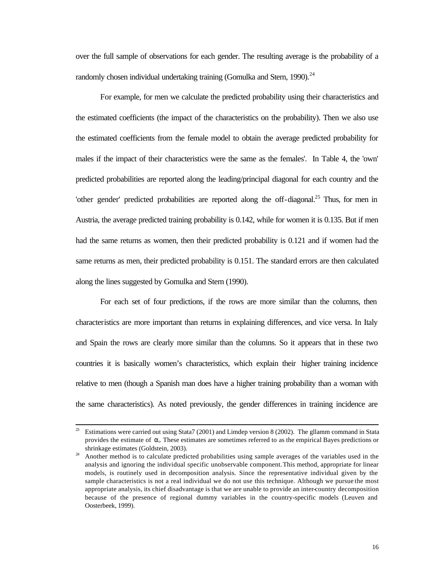over the full sample of observations for each gender. The resulting average is the probability of a randomly chosen individual undertaking training (Gomulka and Stern, 1990).<sup>24</sup>

For example, for men we calculate the predicted probability using their characteristics and the estimated coefficients (the impact of the characteristics on the probability). Then we also use the estimated coefficients from the female model to obtain the average predicted probability for males if the impact of their characteristics were the same as the females'. In Table 4, the 'own' predicted probabilities are reported along the leading/principal diagonal for each country and the 'other gender' predicted probabilities are reported along the off-diagonal.<sup>25</sup> Thus, for men in Austria, the average predicted training probability is 0.142, while for women it is 0.135. But if men had the same returns as women, then their predicted probability is 0.121 and if women had the same returns as men, their predicted probability is 0.151. The standard errors are then calculated along the lines suggested by Gomulka and Stern (1990).

For each set of four predictions, if the rows are more similar than the columns, then characteristics are more important than returns in explaining differences, and vice versa. In Italy and Spain the rows are clearly more similar than the columns. So it appears that in these two countries it is basically women's characteristics, which explain their higher training incidence relative to men (though a Spanish man does have a higher training probability than a woman with the same characteristics). As noted previously, the gender differences in training incidence are

 $23\,$ <sup>23</sup> Estimations were carried out using Stata7 (2001) and Limdep version 8 (2002). The gllamm command in Stata provides the estimate of  $\alpha_i$ . These estimates are sometimes referred to as the empirical Bayes predictions or shrinkage estimates (Goldstein, 2003).

<sup>&</sup>lt;sup>24</sup> Another method is to calculate predicted probabilities using sample averages of the variables used in the analysis and ignoring the individual specific unobservable component. This method, appropriate for linear models, is routinely used in decomposition analysis. Since the representative individual given by the sample characteristics is not a real individual we do not use this technique. Although we pursue the most appropriate analysis, its chief disadvantage is that we are unable to provide an inter-country decomposition because of the presence of regional dummy variables in the country-specific models (Leuven and Oosterbeek, 1999).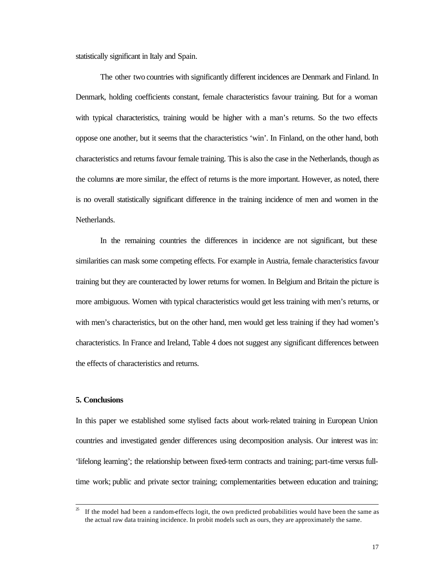statistically significant in Italy and Spain.

The other two countries with significantly different incidences are Denmark and Finland. In Denmark, holding coefficients constant, female characteristics favour training. But for a woman with typical characteristics, training would be higher with a man's returns. So the two effects oppose one another, but it seems that the characteristics 'win'. In Finland, on the other hand, both characteristics and returns favour female training. This is also the case in the Netherlands, though as the columns are more similar, the effect of returns is the more important. However, as noted, there is no overall statistically significant difference in the training incidence of men and women in the Netherlands.

In the remaining countries the differences in incidence are not significant, but these similarities can mask some competing effects. For example in Austria, female characteristics favour training but they are counteracted by lower returns for women. In Belgium and Britain the picture is more ambiguous. Women with typical characteristics would get less training with men's returns, or with men's characteristics, but on the other hand, men would get less training if they had women's characteristics. In France and Ireland, Table 4 does not suggest any significant differences between the effects of characteristics and returns.

#### **5. Conclusions**

l

In this paper we established some stylised facts about work-related training in European Union countries and investigated gender differences using decomposition analysis. Our interest was in: 'lifelong learning'; the relationship between fixed-term contracts and training; part-time versus fulltime work; public and private sector training; complementarities between education and training;

<sup>25</sup> If the model had been a random-effects logit, the own predicted probabilities would have been the same as the actual raw data training incidence. In probit models such as ours, they are approximately the same.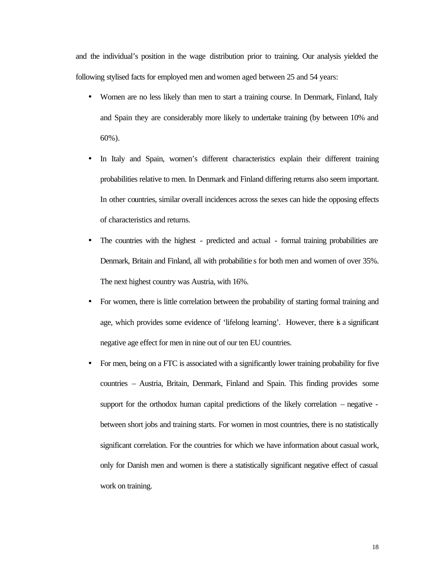and the individual's position in the wage distribution prior to training. Our analysis yielded the following stylised facts for employed men and women aged between 25 and 54 years:

- Women are no less likely than men to start a training course. In Denmark, Finland, Italy and Spain they are considerably more likely to undertake training (by between 10% and 60%).
- In Italy and Spain, women's different characteristics explain their different training probabilities relative to men. In Denmark and Finland differing returns also seem important. In other countries, similar overall incidences across the sexes can hide the opposing effects of characteristics and returns.
- The countries with the highest predicted and actual formal training probabilities are Denmark, Britain and Finland, all with probabilitie s for both men and women of over 35%. The next highest country was Austria, with 16%.
- For women, there is little correlation between the probability of starting formal training and age, which provides some evidence of 'lifelong learning'. However, there is a significant negative age effect for men in nine out of our ten EU countries.
- For men, being on a FTC is associated with a significantly lower training probability for five countries – Austria, Britain, Denmark, Finland and Spain. This finding provides some support for the orthodox human capital predictions of the likely correlation – negative between short jobs and training starts. For women in most countries, there is no statistically significant correlation. For the countries for which we have information about casual work, only for Danish men and women is there a statistically significant negative effect of casual work on training.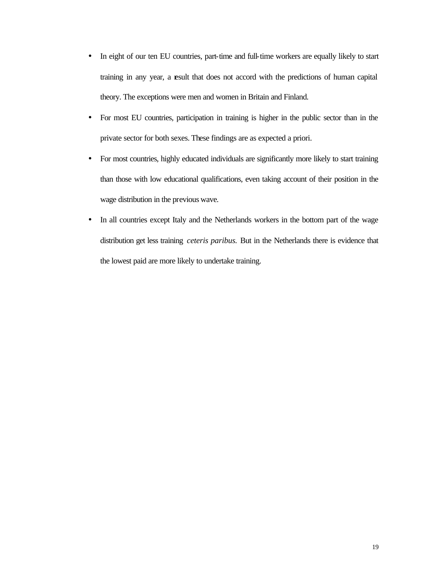- In eight of our ten EU countries, part-time and full-time workers are equally likely to start training in any year, a result that does not accord with the predictions of human capital theory. The exceptions were men and women in Britain and Finland.
- For most EU countries, participation in training is higher in the public sector than in the private sector for both sexes. These findings are as expected a priori.
- For most countries, highly educated individuals are significantly more likely to start training than those with low educational qualifications, even taking account of their position in the wage distribution in the previous wave.
- In all countries except Italy and the Netherlands workers in the bottom part of the wage distribution get less training *ceteris paribus.* But in the Netherlands there is evidence that the lowest paid are more likely to undertake training.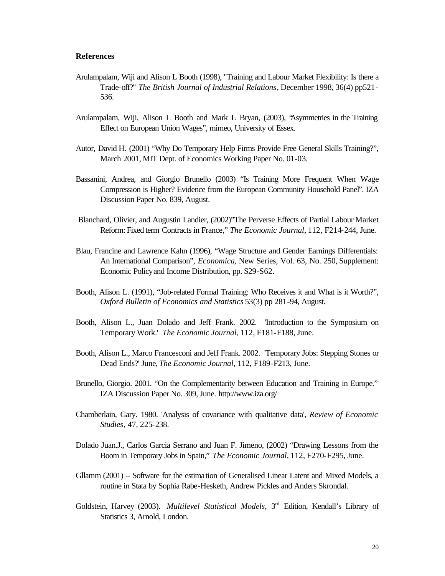#### **References**

- Arulampalam, Wiji and Alison L Booth (1998), "Training and Labour Market Flexibility: Is there a Trade-off?" *The British Journal of Industrial Relations*, December 1998, 36(4) pp521- 536.
- Arulampalam, Wiji, Alison L Booth and Mark L Bryan, (2003), "Asymmetries in the Training Effect on European Union Wages", mimeo, University of Essex.
- Autor, David H. (2001) "Why Do Temporary Help Firms Provide Free General Skills Training?", March 2001, MIT Dept. of Economics Working Paper No. 01-03.
- Bassanini, Andrea, and Giorgio Brunello (2003) "Is Training More Frequent When Wage Compression is Higher? Evidence from the European Community Household Panel". IZA Discussion Paper No. 839, August.
- Blanchard, Olivier, and Augustin Landier, (2002)"The Perverse Effects of Partial Labour Market Reform: Fixed term Contracts in France," *The Economic Journal,* 112, F214-244, June.
- Blau, Francine and Lawrence Kahn (1996), "Wage Structure and Gender Earnings Differentials: An International Comparison", *Economica*, New Series, Vol. 63, No. 250, Supplement: Economic Policy and Income Distribution, pp. S29-S62.
- Booth, Alison L. (1991), "Job-related Formal Training: Who Receives it and What is it Worth?", *Oxford Bulletin of Economics and Statistics* 53(3) pp 281-94, August.
- Booth, Alison L., Juan Dolado and Jeff Frank. 2002. 'Introduction to the Symposium on Temporary Work.' *The Economic Journal,* 112, F181-F188, June.
- Booth, Alison L., Marco Francesconi and Jeff Frank. 2002. 'Temporary Jobs: Stepping Stones or Dead Ends?' June, *The Economic Journal,* 112, F189-F213, June.
- Brunello, Giorgio. 2001. "On the Complementarity between Education and Training in Europe." IZA Discussion Paper No. 309, June. http://www.iza.org/
- Chamberlain, Gary. 1980. 'Analysis of covariance with qualitative data', *Review of Economic Studies*, 47, 225-238.
- Dolado Juan.J., Carlos Garcia Serrano and Juan F. Jimeno, (2002) "Drawing Lessons from the Boom in Temporary Jobs in Spain," *The Economic Journal,* 112, F270-F295, June.
- Gllamm (2001) Software for the estimation of Generalised Linear Latent and Mixed Models, a routine in Stata by Sophia Rabe-Hesketh, Andrew Pickles and Anders Skrondal.
- Goldstein, Harvey (2003). Multilevel Statistical Models, 3<sup>rd</sup> Edition, Kendall's Library of Statistics 3, Arnold, London.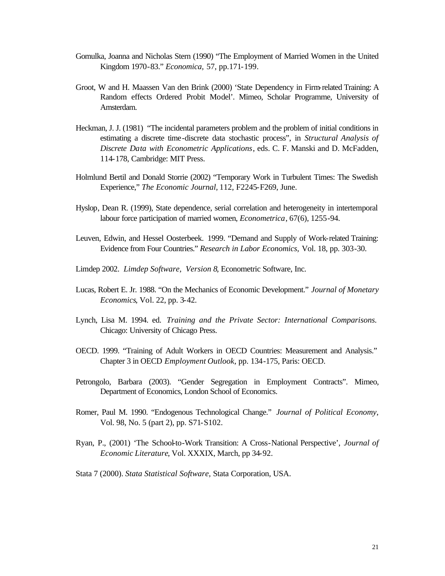- Gomulka, Joanna and Nicholas Stern (1990) "The Employment of Married Women in the United Kingdom 1970-83." *Economica,* 57, pp.171-199.
- Groot, W and H. Maassen Van den Brink (2000) 'State Dependency in Firm-related Training: A Random effects Ordered Probit Model'. Mimeo, Scholar Programme, University of Amsterdam.
- Heckman, J. J. (1981) "The incidental parameters problem and the problem of initial conditions in estimating a discrete time-discrete data stochastic process", in *Structural Analysis of Discrete Data with Econometric Applications*, eds. C. F. Manski and D. McFadden, 114-178, Cambridge: MIT Press.
- Holmlund Bertil and Donald Storrie (2002) "Temporary Work in Turbulent Times: The Swedish Experience," *The Economic Journal,* 112, F2245-F269, June.
- Hyslop, Dean R. (1999), State dependence, serial correlation and heterogeneity in intertemporal labour force participation of married women, *Econometrica*, 67(6), 1255-94.
- Leuven, Edwin, and Hessel Oosterbeek. 1999. "Demand and Supply of Work-related Training: Evidence from Four Countries." *Research in Labor Economics,* Vol. 18, pp. 303-30.
- Limdep 2002. *Limdep Software, Version 8*, Econometric Software, Inc.
- Lucas, Robert E. Jr. 1988. "On the Mechanics of Economic Development." *Journal of Monetary Economics*, Vol. 22, pp. 3-42.
- Lynch, Lisa M. 1994. ed. *Training and the Private Sector: International Comparisons.*  Chicago: University of Chicago Press.
- OECD. 1999. "Training of Adult Workers in OECD Countries: Measurement and Analysis." Chapter 3 in OECD *Employment Outlook*, pp. 134-175, Paris: OECD.
- Petrongolo, Barbara (2003). "Gender Segregation in Employment Contracts". Mimeo, Department of Economics, London School of Economics.
- Romer, Paul M. 1990. "Endogenous Technological Change." *Journal of Political Economy*, Vol. 98, No. 5 (part 2), pp. S71-S102.
- Ryan, P., (2001) 'The School-to-Work Transition: A Cross-National Perspective', *Journal of Economic Literature*, Vol. XXXIX, March, pp 34-92.
- Stata 7 (2000). *Stata Statistical Software,* Stata Corporation, USA.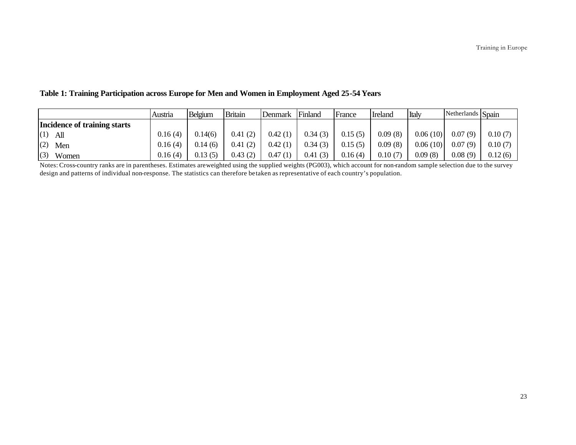|                              | Austria | Belgium | <b>Britain</b> | Denmark | Finland | France  | <b>Ireland</b> | Italy    | Netherlands Spain |         |
|------------------------------|---------|---------|----------------|---------|---------|---------|----------------|----------|-------------------|---------|
| Incidence of training starts |         |         |                |         |         |         |                |          |                   |         |
| $(1)$ All                    | 0.16(4) | 0.14(6) | 0.41(2)        | 0.42(1) | 0.34(3) | 0.15(5) | 0.09(8)        | 0.06(10) | 0.07(9)           | 0.10(7) |
| $(2)$ Men                    | 0.16(4) | 0.14(6) | 0.41(2)        | 0.42(1) | 0.34(3) | 0.15(5) | 0.09(8)        | 0.06(10) | 0.07(9)           | 0.10(7) |
| (3)<br>Women                 | 0.16(4) | 0.13(5) | 0.43(2)        | 0.47(1) | 0.41(3) | 0.16(4) | 0.10(7)        | 0.09(8)  | 0.08(9)           | 0.12(6) |

#### **Table 1: Training Participation across Europe for Men and Women in Employment Aged 25-54 Years**

Notes: Cross-country ranks are in parentheses. Estimates are weighted using the supplied weights (PG003), which account for non-random sample selection due to the survey design and patterns of individual non-response. The statistics can therefore be taken as representative of each country's population.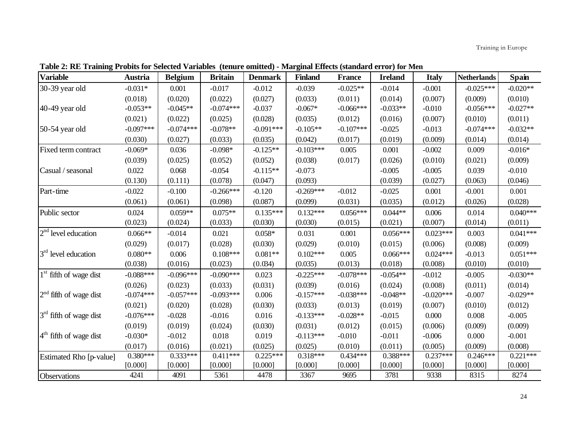| <b>Variable</b>          | <b>Austria</b> | <b>Belgium</b> | <b>Britain</b> | <b>Denmark</b> | <b>Finland</b> | <b>France</b> | <b>Ireland</b> | <b>Italy</b> | <b>Netherlands</b> | Spain      |
|--------------------------|----------------|----------------|----------------|----------------|----------------|---------------|----------------|--------------|--------------------|------------|
| 30-39 year old           | $-0.031*$      | 0.001          | $-0.017$       | $-0.012$       | $-0.039$       | $-0.025**$    | $-0.014$       | $-0.001$     | $-0.025***$        | $-0.020**$ |
|                          | (0.018)        | (0.020)        | (0.022)        | (0.027)        | (0.033)        | (0.011)       | (0.014)        | (0.007)      | (0.009)            | (0.010)    |
| 40-49 year old           | $-0.053**$     | $-0.045**$     | $-0.074***$    | $-0.037$       | $-0.067*$      | $-0.066***$   | $-0.033**$     | $-0.010$     | $-0.056***$        | $-0.027**$ |
|                          | (0.021)        | (0.022)        | (0.025)        | (0.028)        | (0.035)        | (0.012)       | (0.016)        | (0.007)      | (0.010)            | (0.011)    |
| 50-54 year old           | $-0.097***$    | $-0.074***$    | $-0.078**$     | $-0.091***$    | $-0.105**$     | $-0.107***$   | $-0.025$       | $-0.013$     | $-0.074***$        | $-0.032**$ |
|                          | (0.030)        | (0.027)        | (0.033)        | (0.035)        | (0.042)        | (0.017)       | (0.019)        | (0.009)      | (0.014)            | (0.014)    |
| Fixed term contract      | $-0.069*$      | 0.036          | $-0.098*$      | $-0.125**$     | $-0.103***$    | 0.005         | 0.001          | $-0.002$     | 0.009              | $-0.016*$  |
|                          | (0.039)        | (0.025)        | (0.052)        | (0.052)        | (0.038)        | (0.017)       | (0.026)        | (0.010)      | (0.021)            | (0.009)    |
| Casual / seasonal        | 0.022          | 0.068          | $-0.054$       | $-0.115**$     | $-0.073$       |               | $-0.005$       | $-0.005$     | 0.039              | $-0.010$   |
|                          | (0.130)        | (0.111)        | (0.078)        | (0.047)        | (0.093)        |               | (0.039)        | (0.027)      | (0.063)            | (0.046)    |
| Part-time                | $-0.022$       | $-0.100$       | $-0.266***$    | $-0.120$       | $-0.269***$    | $-0.012$      | $-0.025$       | 0.001        | $-0.001$           | 0.001      |
|                          | (0.061)        | (0.061)        | (0.098)        | (0.087)        | (0.099)        | (0.031)       | (0.035)        | (0.012)      | (0.026)            | (0.028)    |
| Public sector            | 0.024          | $0.059**$      | $0.075**$      | $0.135***$     | $0.132***$     | $0.056***$    | $0.044**$      | 0.006        | 0.014              | $0.040***$ |
|                          | (0.023)        | (0.024)        | (0.033)        | (0.030)        | (0.030)        | (0.015)       | (0.021)        | (0.007)      | (0.014)            | (0.011)    |
| $2nd$ level education    | $0.066**$      | $-0.014$       | 0.021          | $0.058*$       | 0.031          | 0.001         | $0.056***$     | $0.023***$   | 0.003              | $0.041***$ |
|                          | (0.029)        | (0.017)        | (0.028)        | (0.030)        | (0.029)        | (0.010)       | (0.015)        | (0.006)      | (0.008)            | (0.009)    |
| $3rd$ level education    | $0.080**$      | 0.006          | $0.108***$     | $0.081**$      | $0.102***$     | 0.005         | $0.066***$     | $0.024***$   | $-0.013$           | $0.051***$ |
|                          | (0.038)        | (0.016)        | (0.023)        | (0.034)        | (0.035)        | (0.013)       | (0.018)        | (0.008)      | (0.010)            | (0.010)    |
| $1st$ fifth of wage dist | $-0.088***$    | $-0.096***$    | $-0.090***$    | 0.023          | $-0.225***$    | $-0.078***$   | $-0.054**$     | $-0.012$     | $-0.005$           | $-0.030**$ |
|                          | (0.026)        | (0.023)        | (0.033)        | (0.031)        | (0.039)        | (0.016)       | (0.024)        | (0.008)      | (0.011)            | (0.014)    |
| $2nd$ fifth of wage dist | $-0.074***$    | $-0.057***$    | $-0.093***$    | 0.006          | $-0.157***$    | $-0.038***$   | $-0.048**$     | $-0.020***$  | $-0.007$           | $-0.029**$ |
|                          | (0.021)        | (0.020)        | (0.028)        | (0.030)        | (0.033)        | (0.013)       | (0.019)        | (0.007)      | (0.010)            | (0.012)    |
| $3rd$ fifth of wage dist | $-0.076***$    | $-0.028$       | $-0.016$       | 0.016          | $-0.133***$    | $-0.028**$    | $-0.015$       | 0.000        | 0.008              | $-0.005$   |
|                          | (0.019)        | (0.019)        | (0.024)        | (0.030)        | (0.031)        | (0.012)       | (0.015)        | (0.006)      | (0.009)            | (0.009)    |
| $4th$ fifth of wage dist | $-0.030*$      | $-0.012$       | 0.018          | 0.019          | $-0.113***$    | $-0.010$      | $-0.011$       | $-0.006$     | 0.000              | $-0.001$   |
|                          | (0.017)        | (0.016)        | (0.021)        | (0.025)        | (0.025)        | (0.010)       | (0.011)        | (0.005)      | (0.009)            | (0.008)    |
| Estimated Rho [p-value]  | $0.380***$     | $0.333***$     | $0.411***$     | $0.225***$     | $0.318***$     | $0.434***$    | $0.388***$     | $0.237***$   | $0.246***$         | $0.221***$ |
|                          | [0.000]        | [0.000]        | [0.000]        | [0.000]        | [0.000]        | [0.000]       | [0.000]        | [0.000]      | [0.000]            | [0.000]    |
| Observations             | 4241           | 4091           | 5361           | 4478           | 3367           | 9695          | 3781           | 9338         | 8315               | 8274       |

**Table 2: RE Training Probits for Selected Variables (tenure omitted) - Marginal Effects (standard error) for Men**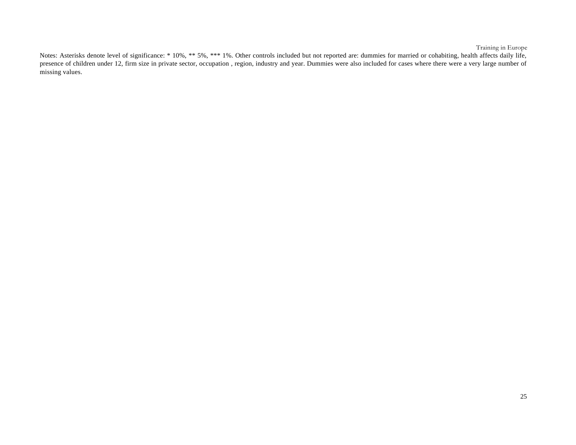Notes: Asterisks denote level of significance: \* 10%, \*\* 5%, \*\*\* 1%. Other controls included but not reported are: dummies for married or cohabiting, health affects daily life, presence of children under 12, firm size in private sector, occupation, region, industry and year. Dummies were also included for cases where there were a very large number of missing values.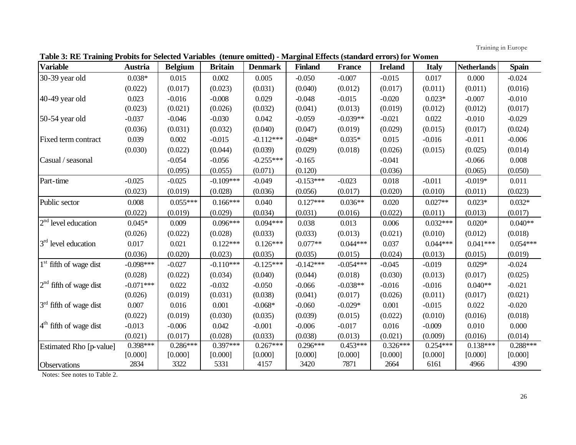| Table 3: RE Training Probits for Selected Variables (tenure omitted) - Marginal Effects (standard errors) for Women |  |  |
|---------------------------------------------------------------------------------------------------------------------|--|--|
|                                                                                                                     |  |  |

| <b>Variable</b>          | <b>Austria</b> | <b>Belgium</b> | <b>Britain</b> | <b>Denmark</b> | <b>Finland</b> | <b>France</b> | <b>Ireland</b> | <b>Italy</b> | <b>Netherlands</b> | <b>Spain</b> |
|--------------------------|----------------|----------------|----------------|----------------|----------------|---------------|----------------|--------------|--------------------|--------------|
| 30-39 year old           | $0.038*$       | 0.015          | 0.002          | 0.005          | $-0.050$       | $-0.007$      | $-0.015$       | 0.017        | 0.000              | $-0.024$     |
|                          | (0.022)        | (0.017)        | (0.023)        | (0.031)        | (0.040)        | (0.012)       | (0.017)        | (0.011)      | (0.011)            | (0.016)      |
| 40-49 year old           | 0.023          | $-0.016$       | $-0.008$       | 0.029          | $-0.048$       | $-0.015$      | $-0.020$       | $0.023*$     | $-0.007$           | $-0.010$     |
|                          | (0.023)        | (0.021)        | (0.026)        | (0.032)        | (0.041)        | (0.013)       | (0.019)        | (0.012)      | (0.012)            | (0.017)      |
| 50-54 year old           | $-0.037$       | $-0.046$       | $-0.030$       | 0.042          | $-0.059$       | $-0.039**$    | $-0.021$       | 0.022        | $-0.010$           | $-0.029$     |
|                          | (0.036)        | (0.031)        | (0.032)        | (0.040)        | (0.047)        | (0.019)       | (0.029)        | (0.015)      | (0.017)            | (0.024)      |
| Fixed term contract      | 0.039          | 0.002          | $-0.015$       | $-0.112***$    | $-0.048*$      | $0.035*$      | 0.015          | $-0.016$     | $-0.011$           | $-0.006$     |
|                          | (0.030)        | (0.022)        | (0.044)        | (0.039)        | (0.029)        | (0.018)       | (0.026)        | (0.015)      | (0.025)            | (0.014)      |
| Casual / seasonal        |                | $-0.054$       | $-0.056$       | $-0.255***$    | $-0.165$       |               | $-0.041$       |              | $-0.066$           | 0.008        |
|                          |                | (0.095)        | (0.055)        | (0.071)        | (0.120)        |               | (0.036)        |              | (0.065)            | (0.050)      |
| Part-time                | $-0.025$       | $-0.025$       | $-0.109***$    | $-0.049$       | $-0.153***$    | $-0.023$      | 0.018          | $-0.011$     | $-0.019*$          | 0.011        |
|                          | (0.023)        | (0.019)        | (0.028)        | (0.036)        | (0.056)        | (0.017)       | (0.020)        | (0.010)      | (0.011)            | (0.023)      |
| Public sector            | 0.008          | $0.055***$     | $0.166***$     | 0.040          | $0.127***$     | $0.036**$     | 0.020          | $0.027**$    | $0.023*$           | $0.032*$     |
|                          | (0.022)        | (0.019)        | (0.029)        | (0.034)        | (0.031)        | (0.016)       | (0.022)        | (0.011)      | (0.013)            | (0.017)      |
| $2nd$ level education    | $0.045*$       | 0.009          | $0.096***$     | $0.094***$     | 0.038          | 0.013         | 0.006          | $0.032***$   | $0.020*$           | $0.040**$    |
|                          | (0.026)        | (0.022)        | (0.028)        | (0.033)        | (0.033)        | (0.013)       | (0.021)        | (0.010)      | (0.012)            | (0.018)      |
| $3rd$ level education    | 0.017          | 0.021          | $0.122***$     | $0.126***$     | $0.077**$      | $0.044***$    | 0.037          | $0.044***$   | $0.041***$         | $0.054***$   |
|                          | (0.036)        | (0.020)        | (0.023)        | (0.035)        | (0.035)        | (0.015)       | (0.024)        | (0.013)      | (0.015)            | (0.019)      |
| $1st$ fifth of wage dist | $-0.098***$    | $-0.027$       | $-0.110***$    | $-0.125***$    | $-0.142***$    | $-0.054***$   | $-0.045$       | $-0.019$     | $0.029*$           | $-0.024$     |
|                          | (0.028)        | (0.022)        | (0.034)        | (0.040)        | (0.044)        | (0.018)       | (0.030)        | (0.013)      | (0.017)            | (0.025)      |
| $2nd$ fifth of wage dist | $-0.071***$    | 0.022          | $-0.032$       | $-0.050$       | $-0.066$       | $-0.038**$    | $-0.016$       | $-0.016$     | $0.040**$          | $-0.021$     |
|                          | (0.026)        | (0.019)        | (0.031)        | (0.038)        | (0.041)        | (0.017)       | (0.026)        | (0.011)      | (0.017)            | (0.021)      |
| $3rd$ fifth of wage dist | 0.007          | 0.016          | 0.001          | $-0.068*$      | $-0.060$       | $-0.029*$     | 0.001          | $-0.015$     | 0.022              | $-0.020$     |
|                          | (0.022)        | (0.019)        | (0.030)        | (0.035)        | (0.039)        | (0.015)       | (0.022)        | (0.010)      | (0.016)            | (0.018)      |
| $4th$ fifth of wage dist | $-0.013$       | $-0.006$       | 0.042          | $-0.001$       | $-0.006$       | $-0.017$      | 0.016          | $-0.009$     | 0.010              | 0.000        |
|                          | (0.021)        | (0.017)        | (0.028)        | (0.033)        | (0.038)        | (0.013)       | (0.021)        | (0.009)      | (0.016)            | (0.014)      |
| Estimated Rho [p-value]  | $0.398***$     | $0.286***$     | $0.397***$     | $0.267***$     | $0.296***$     | $0.453***$    | $0.326***$     | $0.254***$   | $0.138***$         | $0.288***$   |
|                          | [0.000]        | [0.000]        | [0.000]        | [0.000]        | [0.000]        | [0.000]       | [0.000]        | [0.000]      | [0.000]            | [0.000]      |
| Observations             | 2834           | 3322           | 5331           | 4157           | 3420           | 7871          | 2664           | 6161         | 4966               | 4390         |

Notes: See notes to Table 2.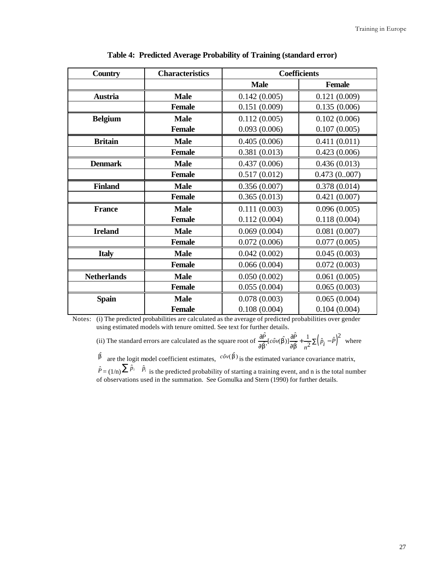| <b>Country</b>     | <b>Characteristics</b> |              | <b>Coefficients</b> |
|--------------------|------------------------|--------------|---------------------|
|                    |                        | <b>Male</b>  | <b>Female</b>       |
| <b>Austria</b>     | <b>Male</b>            | 0.142(0.005) | 0.121(0.009)        |
|                    | <b>Female</b>          | 0.151(0.009) | 0.135(0.006)        |
| <b>Belgium</b>     | <b>Male</b>            | 0.112(0.005) | 0.102(0.006)        |
|                    | <b>Female</b>          | 0.093(0.006) | 0.107(0.005)        |
| <b>Britain</b>     | <b>Male</b>            | 0.405(0.006) | 0.411(0.011)        |
|                    | <b>Female</b>          | 0.381(0.013) | 0.423(0.006)        |
| <b>Denmark</b>     | <b>Male</b>            | 0.437(0.006) | 0.436(0.013)        |
|                    | <b>Female</b>          | 0.517(0.012) | 0.473(0.007)        |
| <b>Finland</b>     | <b>Male</b>            | 0.356(0.007) | 0.378(0.014)        |
|                    | <b>Female</b>          | 0.365(0.013) | 0.421(0.007)        |
| <b>France</b>      | <b>Male</b>            | 0.111(0.003) | 0.096(0.005)        |
|                    | <b>Female</b>          | 0.112(0.004) | 0.118(0.004)        |
| <b>Ireland</b>     | <b>Male</b>            | 0.069(0.004) | 0.081(0.007)        |
|                    | <b>Female</b>          | 0.072(0.006) | 0.077(0.005)        |
| <b>Italy</b>       | <b>Male</b>            | 0.042(0.002) | 0.045(0.003)        |
|                    | <b>Female</b>          | 0.066(0.004) | 0.072(0.003)        |
| <b>Netherlands</b> | <b>Male</b>            | 0.050(0.002) | 0.061(0.005)        |
|                    | <b>Female</b>          | 0.055(0.004) | 0.065(0.003)        |
| <b>Spain</b>       | <b>Male</b>            | 0.078(0.003) | 0.065(0.004)        |
|                    | <b>Female</b>          | 0.108(0.004) | 0.104(0.004)        |

**Table 4: Predicted Average Probability of Training (standard error)**

Notes: (i) The predicted probabilities are calculated as the average of predicted probabilities over gender using estimated models with tenure omitted. See text for further details.

(ii) The standard errors are calculated as the square root of  $\frac{\partial \hat{P}}{\partial \hat{b}'}$  [ $c\hat{\sigma}v(\hat{b}) \frac{\partial \hat{P}}{\partial \hat{b}} + \frac{1}{n^2} \Sigma (\hat{p}_i - \hat{P})^2$  $\frac{\partial \hat{P}}{\partial \hat{b}}[c\hat{\partial}v(\hat{b})]\frac{\partial \hat{P}}{\partial \hat{b}} + \frac{1}{n^2}\sum_{i=1}^{n}(\hat{p}_{i} - \hat{P}_{i})$  $\frac{\partial}{\partial \hat{b}}[c\hat{\partial}v(\hat{b})]\frac{\partial}{\partial \hat{b}}$  $\frac{\partial \hat{P}}{\partial \hat{b}}[c\hat{\partial}v(\hat{b})]\frac{\partial \hat{P}}{\partial \hat{b}} + \frac{1}{n^2}\Sigma(\hat{p}_i - \hat{P})^2$  where

 $\hat{b}$  are the logit model coefficient estimates,  $c^{\hat{c}v}(\hat{b})$  is the estimated variance covariance matrix,  $\hat{P} = (1/n) \sum \hat{P}_i$  is the predicted probability of starting a training event, and n is the total number of observations used in the summation. See Gomulka and Stern (1990) for further details.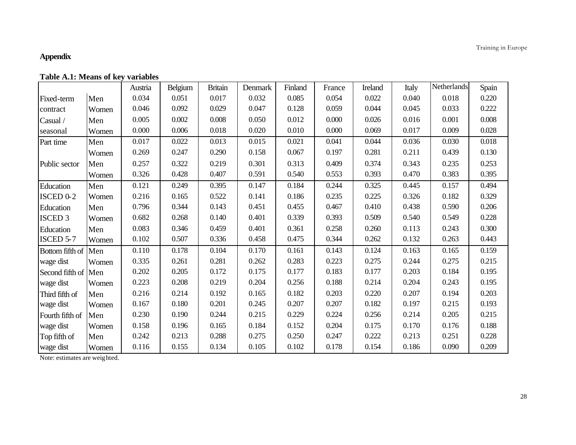#### **Appendix**

|                      |       | Austria | Belgium | <b>Britain</b> | Denmark | Finland | France | Ireland | Italy | Netherlands | Spain |
|----------------------|-------|---------|---------|----------------|---------|---------|--------|---------|-------|-------------|-------|
| Fixed-term           | Men   | 0.034   | 0.051   | 0.017          | 0.032   | 0.085   | 0.054  | 0.022   | 0.040 | 0.018       | 0.220 |
| contract             | Women | 0.046   | 0.092   | 0.029          | 0.047   | 0.128   | 0.059  | 0.044   | 0.045 | 0.033       | 0.222 |
| Casual /             | Men   | 0.005   | 0.002   | 0.008          | 0.050   | 0.012   | 0.000  | 0.026   | 0.016 | 0.001       | 0.008 |
| seasonal             | Women | 0.000   | 0.006   | 0.018          | 0.020   | 0.010   | 0.000  | 0.069   | 0.017 | 0.009       | 0.028 |
| Part time            | Men   | 0.017   | 0.022   | 0.013          | 0.015   | 0.021   | 0.041  | 0.044   | 0.036 | 0.030       | 0.018 |
|                      | Women | 0.269   | 0.247   | 0.290          | 0.158   | 0.067   | 0.197  | 0.281   | 0.211 | 0.439       | 0.130 |
| Public sector        | Men   | 0.257   | 0.322   | 0.219          | 0.301   | 0.313   | 0.409  | 0.374   | 0.343 | 0.235       | 0.253 |
|                      | Women | 0.326   | 0.428   | 0.407          | 0.591   | 0.540   | 0.553  | 0.393   | 0.470 | 0.383       | 0.395 |
| Education            | Men   | 0.121   | 0.249   | 0.395          | 0.147   | 0.184   | 0.244  | 0.325   | 0.445 | 0.157       | 0.494 |
| ISCED <sub>0-2</sub> | Women | 0.216   | 0.165   | 0.522          | 0.141   | 0.186   | 0.235  | 0.225   | 0.326 | 0.182       | 0.329 |
| Education            | Men   | 0.796   | 0.344   | 0.143          | 0.451   | 0.455   | 0.467  | 0.410   | 0.438 | 0.590       | 0.206 |
| <b>ISCED 3</b>       | Women | 0.682   | 0.268   | 0.140          | 0.401   | 0.339   | 0.393  | 0.509   | 0.540 | 0.549       | 0.228 |
| Education            | Men   | 0.083   | 0.346   | 0.459          | 0.401   | 0.361   | 0.258  | 0.260   | 0.113 | 0.243       | 0.300 |
| <b>ISCED 5-7</b>     | Women | 0.102   | 0.507   | 0.336          | 0.458   | 0.475   | 0.344  | 0.262   | 0.132 | 0.263       | 0.443 |
| Bottom fifth of      | Men   | 0.110   | 0.178   | 0.104          | 0.170   | 0.161   | 0.143  | 0.124   | 0.163 | 0.165       | 0.159 |
| wage dist            | Women | 0.335   | 0.261   | 0.281          | 0.262   | 0.283   | 0.223  | 0.275   | 0.244 | 0.275       | 0.215 |
| Second fifth of Men  |       | 0.202   | 0.205   | 0.172          | 0.175   | 0.177   | 0.183  | 0.177   | 0.203 | 0.184       | 0.195 |
| wage dist            | Women | 0.223   | 0.208   | 0.219          | 0.204   | 0.256   | 0.188  | 0.214   | 0.204 | 0.243       | 0.195 |
| Third fifth of       | Men   | 0.216   | 0.214   | 0.192          | 0.165   | 0.182   | 0.203  | 0.220   | 0.207 | 0.194       | 0.203 |
| wage dist            | Women | 0.167   | 0.180   | 0.201          | 0.245   | 0.207   | 0.207  | 0.182   | 0.197 | 0.215       | 0.193 |
| Fourth fifth of      | Men   | 0.230   | 0.190   | 0.244          | 0.215   | 0.229   | 0.224  | 0.256   | 0.214 | 0.205       | 0.215 |
| wage dist            | Women | 0.158   | 0.196   | 0.165          | 0.184   | 0.152   | 0.204  | 0.175   | 0.170 | 0.176       | 0.188 |
| Top fifth of         | Men   | 0.242   | 0.213   | 0.288          | 0.275   | 0.250   | 0.247  | 0.222   | 0.213 | 0.251       | 0.228 |
| wage dist            | Women | 0.116   | 0.155   | 0.134          | 0.105   | 0.102   | 0.178  | 0.154   | 0.186 | 0.090       | 0.209 |

Note: estimates are weighted.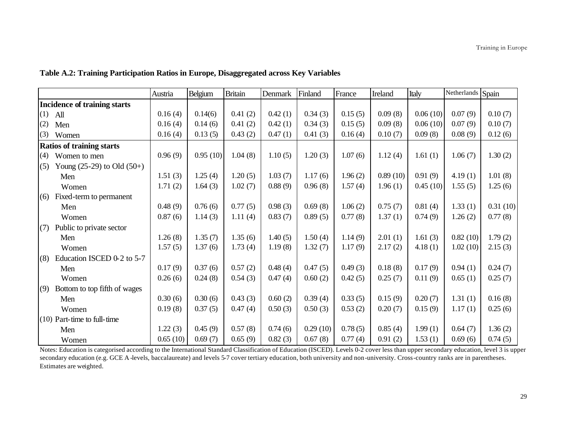|     |                                     | Austria  | Belgium  | <b>Britain</b> | Denmark | Finland  | France  | Ireland  | Italy      | Netherlands Spain |          |
|-----|-------------------------------------|----------|----------|----------------|---------|----------|---------|----------|------------|-------------------|----------|
|     | <b>Incidence of training starts</b> |          |          |                |         |          |         |          |            |                   |          |
| (1) | All                                 | 0.16(4)  | 0.14(6)  | 0.41(2)        | 0.42(1) | 0.34(3)  | 0.15(5) | 0.09(8)  | 0.06(10)   | 0.07(9)           | 0.10(7)  |
| (2) | Men                                 | 0.16(4)  | 0.14(6)  | 0.41(2)        | 0.42(1) | 0.34(3)  | 0.15(5) | 0.09(8)  | 0.06(10)   | 0.07(9)           | 0.10(7)  |
| (3) | Women                               | 0.16(4)  | 0.13(5)  | 0.43(2)        | 0.47(1) | 0.41(3)  | 0.16(4) | 0.10(7)  | 0.09(8)    | 0.08(9)           | 0.12(6)  |
|     | <b>Ratios of training starts</b>    |          |          |                |         |          |         |          |            |                   |          |
| (4) | Women to men                        | 0.96(9)  | 0.95(10) | 1.04(8)        | 1.10(5) | 1.20(3)  | 1.07(6) | 1.12(4)  | 1.61(1)    | 1.06(7)           | 1.30(2)  |
| (5) | Young $(25-29)$ to Old $(50+)$      |          |          |                |         |          |         |          |            |                   |          |
|     | Men                                 | 1.51(3)  | 1.25(4)  | 1.20(5)        | 1.03(7) | 1.17(6)  | 1.96(2) | 0.89(10) | 0.91(9)    | 4.19(1)           | 1.01(8)  |
|     | Women                               | 1.71(2)  | 1.64(3)  | 1.02(7)        | 0.88(9) | 0.96(8)  | 1.57(4) | 1.96(1)  | 0.45(10)   | 1.55(5)           | 1.25(6)  |
| (6) | Fixed-term to permanent             |          |          |                |         |          |         |          |            |                   |          |
|     | Men                                 | 0.48(9)  | 0.76(6)  | 0.77(5)        | 0.98(3) | 0.69(8)  | 1.06(2) | 0.75(7)  | 0.81(4)    | 1.33(1)           | 0.31(10) |
|     | Women                               | 0.87(6)  | 1.14(3)  | 1.11(4)        | 0.83(7) | 0.89(5)  | 0.77(8) | 1.37(1)  | 0.74(9)    | 1.26(2)           | 0.77(8)  |
| (7) | Public to private sector            |          |          |                |         |          |         |          |            |                   |          |
|     | Men                                 | 1.26(8)  | 1.35(7)  | 1.35(6)        | 1.40(5) | 1.50(4)  | 1.14(9) | 2.01(1)  | 1.61 $(3)$ | 0.82(10)          | 1.79(2)  |
|     | Women                               | 1.57(5)  | 1.37(6)  | 1.73(4)        | 1.19(8) | 1.32(7)  | 1.17(9) | 2.17(2)  | 4.18(1)    | 1.02(10)          | 2.15(3)  |
| (8) | Education ISCED 0-2 to 5-7          |          |          |                |         |          |         |          |            |                   |          |
|     | Men                                 | 0.17(9)  | 0.37(6)  | 0.57(2)        | 0.48(4) | 0.47(5)  | 0.49(3) | 0.18(8)  | 0.17(9)    | 0.94(1)           | 0.24(7)  |
|     | Women                               | 0.26(6)  | 0.24(8)  | 0.54(3)        | 0.47(4) | 0.60(2)  | 0.42(5) | 0.25(7)  | 0.11(9)    | 0.65(1)           | 0.25(7)  |
| (9) | Bottom to top fifth of wages        |          |          |                |         |          |         |          |            |                   |          |
|     | Men                                 | 0.30(6)  | 0.30(6)  | 0.43(3)        | 0.60(2) | 0.39(4)  | 0.33(5) | 0.15(9)  | 0.20(7)    | 1.31(1)           | 0.16(8)  |
|     | Women                               | 0.19(8)  | 0.37(5)  | 0.47(4)        | 0.50(3) | 0.50(3)  | 0.53(2) | 0.20(7)  | 0.15(9)    | 1.17(1)           | 0.25(6)  |
|     | $(10)$ Part-time to full-time       |          |          |                |         |          |         |          |            |                   |          |
|     | Men                                 | 1.22(3)  | 0.45(9)  | 0.57(8)        | 0.74(6) | 0.29(10) | 0.78(5) | 0.85(4)  | 1.99(1)    | 0.64(7)           | 1.36(2)  |
|     | Women                               | 0.65(10) | 0.69(7)  | 0.65(9)        | 0.82(3) | 0.67(8)  | 0.77(4) | 0.91(2)  | 1.53(1)    | 0.69(6)           | 0.74(5)  |

**Table A.2: Training Participation Ratios in Europe, Disaggregated across Key Variables**

Notes: Education is categorised according to the International Standard Classification of Education (ISCED). Levels 0-2 cover less than upper secondary education, level 3 is upper secondary education (e.g. GCE A -levels, baccalaureate) and levels 5-7 cover tertiary education, both university and non-university. Cross-country ranks are in parentheses. Estimates are weighted.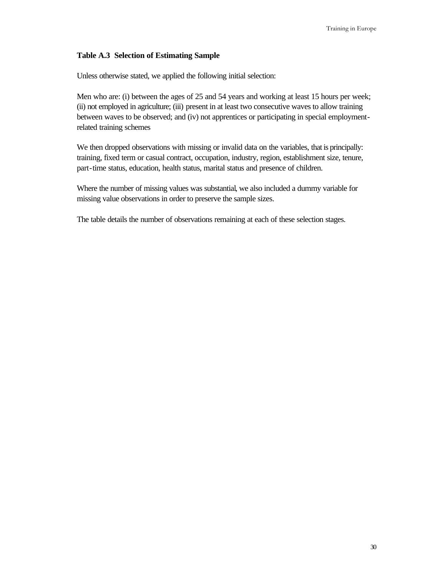#### **Table A.3 Selection of Estimating Sample**

Unless otherwise stated, we applied the following initial selection:

Men who are: (i) between the ages of 25 and 54 years and working at least 15 hours per week; (ii) not employed in agriculture; (iii) present in at least two consecutive waves to allow training between waves to be observed; and (iv) not apprentices or participating in special employmentrelated training schemes

We then dropped observations with missing or invalid data on the variables, that is principally: training, fixed term or casual contract, occupation, industry, region, establishment size, tenure, part-time status, education, health status, marital status and presence of children.

Where the number of missing values was substantial, we also included a dummy variable for missing value observations in order to preserve the sample sizes.

The table details the number of observations remaining at each of these selection stages.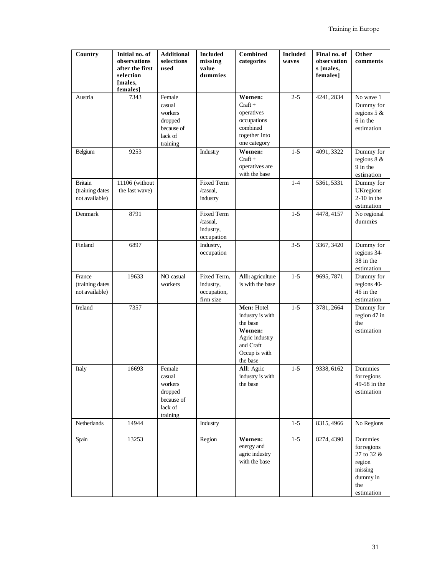| Country                                             | Initial no. of<br>observations<br>after the first<br>selection<br>[males,<br>females] | <b>Additional</b><br>selections<br>used                                     | <b>Included</b><br>missing<br>value<br>dummies           | Combined<br>categories                                                                                           | <b>Included</b><br>waves | Final no. of<br>observation<br>s [males,<br>females] | Other<br>comments                                                                          |
|-----------------------------------------------------|---------------------------------------------------------------------------------------|-----------------------------------------------------------------------------|----------------------------------------------------------|------------------------------------------------------------------------------------------------------------------|--------------------------|------------------------------------------------------|--------------------------------------------------------------------------------------------|
| Austria                                             | 7343                                                                                  | Female<br>casual<br>workers<br>dropped<br>because of<br>lack of<br>training |                                                          | Women:<br>$Craft +$<br>operatives<br>occupations<br>combined<br>together into<br>one category                    | $2 - 5$                  | 4241, 2834                                           | No wave 1<br>Dummy for<br>regions $5 &$<br>6 in the<br>estimation                          |
| Belgium                                             | 9253                                                                                  |                                                                             | Industry                                                 | Women:<br>$Craft +$<br>operatives are<br>with the base                                                           | $1 - 5$                  | 4091, 3322                                           | Dummy for<br>regions $8 &$<br>9 in the<br>estimation                                       |
| <b>Britain</b><br>(training dates<br>not available) | 11106 (without<br>the last wave)                                                      |                                                                             | <b>Fixed Term</b><br>/casual,<br>industry                |                                                                                                                  | $1-4$                    | 5361, 5331                                           | Dummy for<br><b>UKregions</b><br>$2-10$ in the<br>estimation                               |
| Denmark                                             | 8791                                                                                  |                                                                             | <b>Fixed Term</b><br>/casual,<br>industry,<br>occupation |                                                                                                                  | $1 - 5$                  | 4478, 4157                                           | No regional<br>dummies                                                                     |
| Finland                                             | 6897                                                                                  |                                                                             | Industry,<br>occupation                                  |                                                                                                                  | $3 - 5$                  | 3367, 3420                                           | Dummy for<br>regions 34<br>38 in the<br>estimation                                         |
| France<br>(training dates<br>not available)         | 19633                                                                                 | NO casual<br>workers                                                        | Fixed Term,<br>industry,<br>occupation,<br>firm size     | All: agriculture<br>is with the base                                                                             | $1 - 5$                  | 9695, 7871                                           | Dummy for<br>regions 40-<br>46 in the<br>estimation                                        |
| Ireland                                             | 7357                                                                                  |                                                                             |                                                          | Men: Hotel<br>industry is with<br>the base<br>Women:<br>Agric industry<br>and Craft<br>Occup is with<br>the base | $1 - 5$                  | 3781, 2664                                           | Dummy for<br>region 47 in<br>the<br>estimation                                             |
| Italy                                               | 16693                                                                                 | Female<br>casual<br>workers<br>dropped<br>because of<br>lack of<br>training |                                                          | All: Agric<br>industry is with<br>the base                                                                       | $1 - 5$                  | 9338, 6162                                           | Dummies<br>for regions<br>49-58 in the<br>estimation                                       |
| Netherlands                                         | 14944                                                                                 |                                                                             | Industry                                                 |                                                                                                                  | $1 - 5$                  | 8315, 4966                                           | No Regions                                                                                 |
| Spain                                               | 13253                                                                                 |                                                                             | Region                                                   | Women:<br>energy and<br>agric industry<br>with the base                                                          | $1 - 5$                  | 8274, 4390                                           | Dummies<br>for regions<br>27 to 32 &<br>region<br>missing<br>dummy in<br>the<br>estimation |